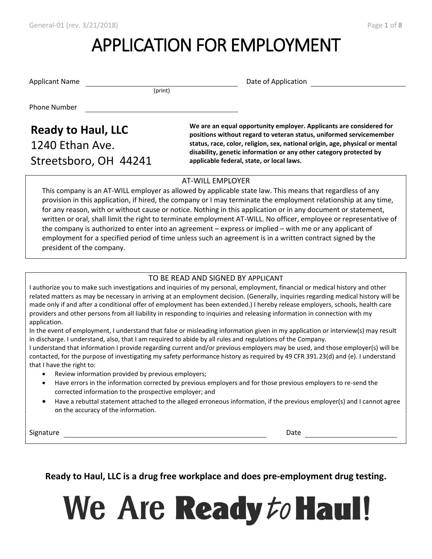# APPLICATION FOR EMPLOYMENT

Applicant Name **Date of Application** Date of Application

(print)

Phone Number

# 1240 Ethan Ave. Streetsboro, OH 44241

**Ready to Haul, LLC** We are an equal opportunity employer. Applicants are considered for **Ready** to Haul, LLC **positions without regard to veteran status, uniformed servicemember status, race, color, religion, sex, national origin, age, physical or mental disability, genetic information or any other category protected by applicable federal, state, or local laws.**

#### AT-WILL EMPLOYER

This company is an AT-WILL employer as allowed by applicable state law. This means that regardless of any provision in this application, if hired, the company or I may terminate the employment relationship at any time, for any reason, with or without cause or notice. Nothing in this application or in any document or statement, written or oral, shall limit the right to terminate employment AT-WILL. No officer, employee or representative of the company is authorized to enter into an agreement – express or implied – with me or any applicant of employment for a specified period of time unless such an agreement is in a written contract signed by the president of the company.

#### TO BE READ AND SIGNED BY APPLICANT

I authorize you to make such investigations and inquiries of my personal, employment, financial or medical history and other related matters as may be necessary in arriving at an employment decision. (Generally, inquiries regarding medical history will be made only if and after a conditional offer of employment has been extended.) I hereby release employers, schools, health care providers and other persons from all liability in responding to inquiries and releasing information in connection with my application.

In the event of employment, I understand that false or misleading information given in my application or interview(s) may result in discharge. I understand, also, that I am required to abide by all rules and regulations of the Company.

I understand that information I provide regarding current and/or previous employers may be used, and those employer(s) will be contacted, for the purpose of investigating my safety performance history as required by 49 CFR 391.23(d) and (e). I understand that I have the right to:

- Review information provided by previous employers;
- Have errors in the information corrected by previous employers and for those previous employers to re-send the corrected information to the prospective employer; and
- Have a rebuttal statement attached to the alleged erroneous information, if the previous employer(s) and I cannot agree on the accuracy of the information.

Signature Date

**Ready to Haul, LLC is a drug free workplace and does pre-employment drug testing.**

We Are Ready to Haul!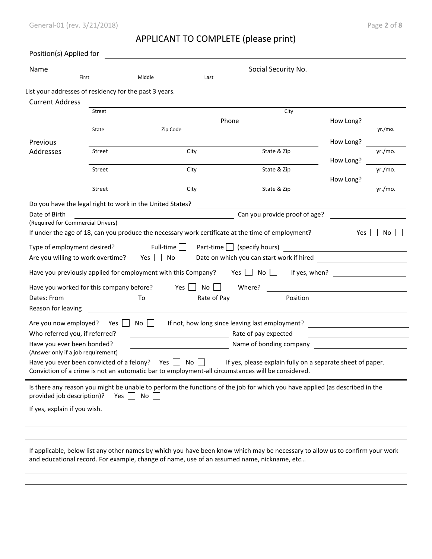# APPLICANT TO COMPLETE (please print)

| Name                                                                                                                                                                                           |                                   |                                                                                                                                                                  |                                  | Social Security No.                                                                                                         |                                                   |         |
|------------------------------------------------------------------------------------------------------------------------------------------------------------------------------------------------|-----------------------------------|------------------------------------------------------------------------------------------------------------------------------------------------------------------|----------------------------------|-----------------------------------------------------------------------------------------------------------------------------|---------------------------------------------------|---------|
|                                                                                                                                                                                                | First                             | Middle                                                                                                                                                           | Last                             |                                                                                                                             |                                                   |         |
|                                                                                                                                                                                                |                                   | List your addresses of residency for the past 3 years.                                                                                                           |                                  |                                                                                                                             |                                                   |         |
| <b>Current Address</b>                                                                                                                                                                         |                                   |                                                                                                                                                                  |                                  |                                                                                                                             |                                                   |         |
|                                                                                                                                                                                                | Street                            |                                                                                                                                                                  |                                  | City                                                                                                                        |                                                   |         |
|                                                                                                                                                                                                |                                   | Zip Code                                                                                                                                                         | Phone                            |                                                                                                                             | How Long?                                         | yr./mo. |
|                                                                                                                                                                                                | State                             |                                                                                                                                                                  |                                  |                                                                                                                             |                                                   |         |
| Previous<br>Addresses                                                                                                                                                                          | Street                            | City                                                                                                                                                             |                                  | State & Zip                                                                                                                 | How Long?                                         | yr./mo. |
|                                                                                                                                                                                                |                                   |                                                                                                                                                                  |                                  |                                                                                                                             | How Long?                                         |         |
|                                                                                                                                                                                                | Street                            | City                                                                                                                                                             |                                  | State & Zip                                                                                                                 |                                                   | yr./mo. |
|                                                                                                                                                                                                |                                   |                                                                                                                                                                  |                                  |                                                                                                                             | How Long?                                         |         |
|                                                                                                                                                                                                | Street                            | City                                                                                                                                                             |                                  | State & Zip                                                                                                                 |                                                   | yr./mo. |
|                                                                                                                                                                                                |                                   | Do you have the legal right to work in the United States?                                                                                                        |                                  |                                                                                                                             |                                                   |         |
| Date of Birth                                                                                                                                                                                  |                                   |                                                                                                                                                                  |                                  |                                                                                                                             |                                                   |         |
|                                                                                                                                                                                                |                                   |                                                                                                                                                                  |                                  | Can you provide proof of age?                                                                                               |                                                   |         |
|                                                                                                                                                                                                | (Required for Commercial Drivers) | If under the age of 18, can you produce the necessary work certificate at the time of employment?<br>Full-time $\Box$<br>Yes $\Box$ No<br>$\blacksquare$         | Part-time $\Box$ (specify hours) | Date on which you can start work if hired                                                                                   | Yes                                               | No.     |
|                                                                                                                                                                                                |                                   | Have you previously applied for employment with this Company?                                                                                                    |                                  | Yes $\vert$ No $\vert$ $\vert$                                                                                              | If yes, when?                                     |         |
|                                                                                                                                                                                                |                                   | Have you worked for this company before? Yes                                                                                                                     | No                               | Where?                                                                                                                      |                                                   |         |
|                                                                                                                                                                                                |                                   | To Rate of Pay                                                                                                                                                   |                                  |                                                                                                                             | Position <u>_______________</u>                   |         |
|                                                                                                                                                                                                |                                   |                                                                                                                                                                  |                                  |                                                                                                                             |                                                   |         |
|                                                                                                                                                                                                | Yes II                            | Noll                                                                                                                                                             |                                  | If not, how long since leaving last employment?                                                                             | <u> 1989 - Johann Barbara, martxa alemaniar a</u> |         |
|                                                                                                                                                                                                |                                   |                                                                                                                                                                  |                                  | Rate of pay expected                                                                                                        |                                                   |         |
| Type of employment desired?<br>Are you willing to work overtime?<br>Dates: From<br>Reason for leaving<br>Are you now employed?<br>Who referred you, if referred?<br>Have you ever been bonded? |                                   |                                                                                                                                                                  |                                  | Name of bonding company                                                                                                     |                                                   |         |
|                                                                                                                                                                                                |                                   |                                                                                                                                                                  | No                               |                                                                                                                             |                                                   |         |
|                                                                                                                                                                                                |                                   | Have you ever been convicted of a felony? Yes $\vert \vert$<br>Conviction of a crime is not an automatic bar to employment-all circumstances will be considered. |                                  | If yes, please explain fully on a separate sheet of paper.                                                                  |                                                   |         |
| (Answer only if a job requirement)                                                                                                                                                             |                                   |                                                                                                                                                                  |                                  | Is there any reason you might be unable to perform the functions of the job for which you have applied (as described in the |                                                   |         |
| provided job description)?                                                                                                                                                                     |                                   | Yes $\Box$ No                                                                                                                                                    |                                  |                                                                                                                             |                                                   |         |
| If yes, explain if you wish.                                                                                                                                                                   |                                   |                                                                                                                                                                  |                                  |                                                                                                                             |                                                   |         |

If applicable, below list any other names by which you have been know which may be necessary to allow us to confirm your work and educational record. For example, change of name, use of an assumed name, nickname, etc…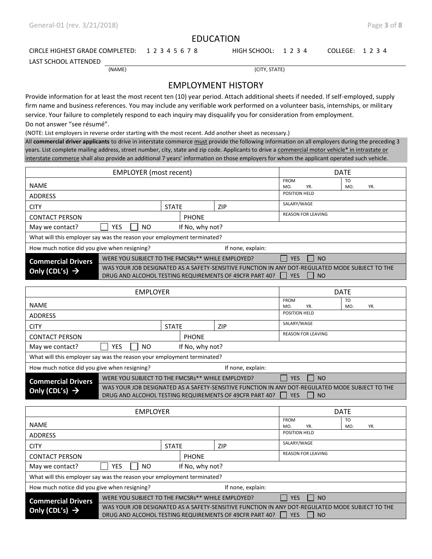#### EDUCATION

#### CIRCLE HIGHEST GRADE COMPLETED: 1 2 3 4 5 6 7 8 HIGH SCHOOL: 1 2 3 4 COLLEGE: 1 2 3 4

LAST SCHOOL ATTENDED

(NAME) (CITY, STATE)

#### EMPLOYMENT HISTORY

Provide information for at least the most recent ten (10) year period. Attach additional sheets if needed. If self-employed, supply firm name and business references. You may include any verifiable work performed on a volunteer basis, internships, or military service. Your failure to completely respond to each inquiry may disqualify you for consideration from employment. Do not answer "see résumé".

(NOTE: List employers in reverse order starting with the most recent. Add another sheet as necessary.)

All **commercial driver applicants** to drive in interstate commerce must provide the following information on all employers during the preceding 3 years. List complete mailing address, street number, city, state and zip code. Applicants to drive a commercial motor vehicle\* in intrastate or interstate commerce shall also provide an additional 7 years' information on those employers for whom the applicant operated such vehicle.

| <b>EMPLOYER</b> (most recent)                                                 |            |              |                 |                                                                                                                                                            |               | <b>DATE</b>               |     |  |
|-------------------------------------------------------------------------------|------------|--------------|-----------------|------------------------------------------------------------------------------------------------------------------------------------------------------------|---------------|---------------------------|-----|--|
| <b>NAME</b>                                                                   |            |              |                 | <b>FROM</b><br>MO.                                                                                                                                         | YR.           | T <sub>O</sub><br>MO.     | YR. |  |
| <b>ADDRESS</b>                                                                |            |              |                 |                                                                                                                                                            | POSITION HELD |                           |     |  |
| <b>CITY</b>                                                                   |            | <b>STATE</b> |                 | <b>ZIP</b>                                                                                                                                                 | SALARY/WAGE   |                           |     |  |
| <b>CONTACT PERSON</b>                                                         |            |              | <b>PHONE</b>    |                                                                                                                                                            |               | <b>REASON FOR LEAVING</b> |     |  |
| May we contact?                                                               | YES<br>NO. |              | If No, why not? |                                                                                                                                                            |               |                           |     |  |
| What will this employer say was the reason your employment terminated?        |            |              |                 |                                                                                                                                                            |               |                           |     |  |
| How much notice did you give when resigning?                                  |            |              |                 | If none, explain:                                                                                                                                          |               |                           |     |  |
| WERE YOU SUBJECT TO THE FMCSRs** WHILE EMPLOYED?<br><b>Commercial Drivers</b> |            |              |                 | <b>NO</b><br><b>YES</b>                                                                                                                                    |               |                           |     |  |
| Only (CDL's) $\rightarrow$                                                    |            |              |                 | WAS YOUR JOB DESIGNATED AS A SAFETY-SENSITIVE FUNCTION IN ANY DOT-REGULATED MODE SUBJECT TO THE<br>DRUG AND ALCOHOL TESTING REQUIREMENTS OF 49CFR PART 40? | <b>YES</b>    | <b>NO</b>                 |     |  |

| <b>EMPLOYER</b>                                                               |                         |              |                 |                                                                                                                                                            |                             | <b>DATE</b>               |     |  |
|-------------------------------------------------------------------------------|-------------------------|--------------|-----------------|------------------------------------------------------------------------------------------------------------------------------------------------------------|-----------------------------|---------------------------|-----|--|
| <b>NAME</b>                                                                   |                         |              |                 | <b>FROM</b><br>MO.                                                                                                                                         | YR.                         | T <sub>O</sub><br>MO.     | YR. |  |
| <b>ADDRESS</b>                                                                |                         |              |                 |                                                                                                                                                            | POSITION HELD               |                           |     |  |
| <b>CITY</b>                                                                   |                         | <b>STATE</b> |                 | ZIP                                                                                                                                                        | SALARY/WAGE                 |                           |     |  |
| <b>CONTACT PERSON</b>                                                         |                         |              | <b>PHONE</b>    |                                                                                                                                                            |                             | <b>REASON FOR LEAVING</b> |     |  |
| May we contact?                                                               | <b>YES</b><br><b>NO</b> |              | If No, why not? |                                                                                                                                                            |                             |                           |     |  |
| What will this employer say was the reason your employment terminated?        |                         |              |                 |                                                                                                                                                            |                             |                           |     |  |
| How much notice did you give when resigning?                                  |                         |              |                 | If none, explain:                                                                                                                                          |                             |                           |     |  |
| WERE YOU SUBJECT TO THE FMCSRs** WHILE EMPLOYED?<br><b>Commercial Drivers</b> |                         |              |                 | II YES                                                                                                                                                     | $\overline{\phantom{0}}$ NO |                           |     |  |
| Only (CDL's) $\rightarrow$                                                    |                         |              |                 | WAS YOUR JOB DESIGNATED AS A SAFETY-SENSITIVE FUNCTION IN ANY DOT-REGULATED MODE SUBJECT TO THE<br>DRUG AND ALCOHOL TESTING REQUIREMENTS OF 49CFR PART 40? | <b>YES</b>                  | I NO                      |     |  |

| <b>EMPLOYER</b>                                                               |                         |                     |                 |                                                                                                 | <b>DATE</b>   |                           |     |  |
|-------------------------------------------------------------------------------|-------------------------|---------------------|-----------------|-------------------------------------------------------------------------------------------------|---------------|---------------------------|-----|--|
| <b>NAME</b>                                                                   |                         |                     |                 | <b>FROM</b><br>MO.                                                                              | YR.           | T <sub>O</sub><br>MO.     | YR. |  |
| <b>ADDRESS</b>                                                                |                         |                     |                 |                                                                                                 | POSITION HELD |                           |     |  |
| <b>CITY</b>                                                                   |                         | <b>STATE</b><br>ZIP |                 |                                                                                                 | SALARY/WAGE   |                           |     |  |
| <b>CONTACT PERSON</b>                                                         |                         | <b>PHONE</b>        |                 |                                                                                                 |               | <b>REASON FOR LEAVING</b> |     |  |
| May we contact?                                                               | <b>YES</b><br><b>NO</b> |                     | If No, why not? |                                                                                                 |               |                           |     |  |
| What will this employer say was the reason your employment terminated?        |                         |                     |                 |                                                                                                 |               |                           |     |  |
| How much notice did you give when resigning?                                  |                         |                     |                 | If none, explain:                                                                               |               |                           |     |  |
| WERE YOU SUBJECT TO THE FMCSRs** WHILE EMPLOYED?<br><b>Commercial Drivers</b> |                         |                     |                 | <b>NO</b><br><b>YES</b>                                                                         |               |                           |     |  |
| Only (CDL's) $\rightarrow$                                                    |                         |                     |                 | WAS YOUR JOB DESIGNATED AS A SAFETY-SENSITIVE FUNCTION IN ANY DOT-REGULATED MODE SUBJECT TO THE |               |                           |     |  |
|                                                                               |                         |                     |                 | DRUG AND ALCOHOL TESTING REQUIREMENTS OF 49CFR PART 40?                                         | <b>YES</b>    | <b>NO</b>                 |     |  |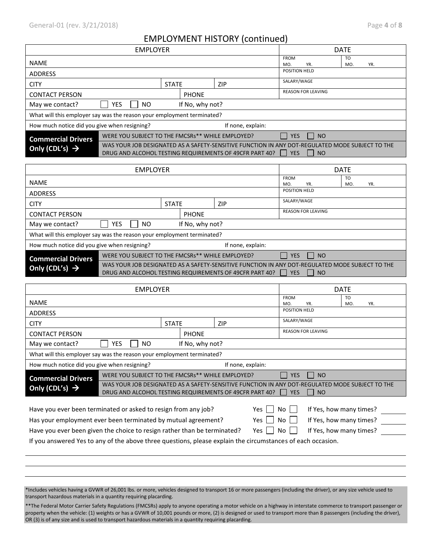## $EDLOV$ MENT HICTORY (continued)

|                                                                        |                                                  |                 | EMPLOYMENT HISTORY (continued)                                                                                                                             |                             |                         |  |
|------------------------------------------------------------------------|--------------------------------------------------|-----------------|------------------------------------------------------------------------------------------------------------------------------------------------------------|-----------------------------|-------------------------|--|
|                                                                        | <b>EMPLOYER</b>                                  |                 |                                                                                                                                                            | <b>DATE</b>                 |                         |  |
| <b>NAME</b>                                                            |                                                  |                 |                                                                                                                                                            | <b>FROM</b><br>MO.<br>YR.   | TO<br>MO.<br>YR.        |  |
| <b>ADDRESS</b>                                                         |                                                  |                 |                                                                                                                                                            | POSITION HELD               |                         |  |
| <b>CITY</b>                                                            |                                                  | <b>STATE</b>    | ZIP                                                                                                                                                        | SALARY/WAGE                 |                         |  |
| <b>CONTACT PERSON</b>                                                  |                                                  | <b>PHONE</b>    |                                                                                                                                                            | <b>REASON FOR LEAVING</b>   |                         |  |
| May we contact?                                                        | <b>YES</b><br><b>NO</b>                          | If No, why not? |                                                                                                                                                            |                             |                         |  |
| What will this employer say was the reason your employment terminated? |                                                  |                 |                                                                                                                                                            |                             |                         |  |
| How much notice did you give when resigning?                           |                                                  |                 | If none, explain:                                                                                                                                          |                             |                         |  |
| <b>Commercial Drivers</b>                                              | WERE YOU SUBJECT TO THE FMCSRs** WHILE EMPLOYED? |                 |                                                                                                                                                            | <b>YES</b><br><b>NO</b>     |                         |  |
| Only (CDL's) $\rightarrow$                                             |                                                  |                 | WAS YOUR JOB DESIGNATED AS A SAFETY-SENSITIVE FUNCTION IN ANY DOT-REGULATED MODE SUBJECT TO THE<br>DRUG AND ALCOHOL TESTING REQUIREMENTS OF 49CFR PART 40? | <b>YES</b><br><b>NO</b>     |                         |  |
|                                                                        | <b>EMPLOYER</b>                                  |                 |                                                                                                                                                            |                             | <b>DATE</b>             |  |
|                                                                        |                                                  |                 |                                                                                                                                                            | <b>FROM</b>                 | TO                      |  |
| <b>NAME</b>                                                            |                                                  |                 |                                                                                                                                                            | MO.<br>YR.<br>POSITION HELD | MO.<br>YR.              |  |
| <b>ADDRESS</b>                                                         |                                                  |                 |                                                                                                                                                            | SALARY/WAGE                 |                         |  |
| <b>CITY</b>                                                            |                                                  | <b>STATE</b>    | ZIP                                                                                                                                                        | REASON FOR LEAVING          |                         |  |
| <b>CONTACT PERSON</b>                                                  |                                                  | <b>PHONE</b>    |                                                                                                                                                            |                             |                         |  |
| May we contact?                                                        | YES<br><b>NO</b>                                 | If No, why not? |                                                                                                                                                            |                             |                         |  |
| What will this employer say was the reason your employment terminated? |                                                  |                 |                                                                                                                                                            |                             |                         |  |
| How much notice did you give when resigning?                           |                                                  |                 | If none, explain:                                                                                                                                          |                             |                         |  |
| <b>Commercial Drivers</b>                                              | WERE YOU SUBJECT TO THE FMCSRs** WHILE EMPLOYED? |                 | WAS YOUR JOB DESIGNATED AS A SAFETY-SENSITIVE FUNCTION IN ANY DOT-REGULATED MODE SUBJECT TO THE                                                            | <b>YES</b><br><b>NO</b>     |                         |  |
| Only (CDL's) $\rightarrow$                                             |                                                  |                 | DRUG AND ALCOHOL TESTING REQUIREMENTS OF 49CFR PART 40?                                                                                                    | <b>YES</b><br><b>NO</b>     |                         |  |
|                                                                        |                                                  |                 |                                                                                                                                                            |                             |                         |  |
|                                                                        | <b>EMPLOYER</b>                                  |                 |                                                                                                                                                            | <b>FROM</b>                 | <b>DATE</b><br>TO       |  |
| <b>NAME</b>                                                            |                                                  |                 |                                                                                                                                                            | MO.<br>YR.                  | MO.<br>YR.              |  |
| <b>ADDRESS</b>                                                         |                                                  |                 |                                                                                                                                                            | POSITION HELD               |                         |  |
| <b>CITY</b>                                                            |                                                  | <b>STATE</b>    | ZIP                                                                                                                                                        | SALARY/WAGE                 |                         |  |
| <b>CONTACT PERSON</b>                                                  |                                                  | <b>PHONE</b>    |                                                                                                                                                            | <b>REASON FOR LEAVING</b>   |                         |  |
| May we contact?                                                        | <b>YES</b><br><b>NO</b>                          | If No, why not? |                                                                                                                                                            |                             |                         |  |
| What will this employer say was the reason your employment terminated? |                                                  |                 |                                                                                                                                                            |                             |                         |  |
| How much notice did you give when resigning?                           |                                                  |                 | If none, explain:                                                                                                                                          |                             |                         |  |
| <b>Commercial Drivers</b>                                              | WERE YOU SUBJECT TO THE FMCSRs** WHILE EMPLOYED? |                 |                                                                                                                                                            | <b>NO</b><br><b>YES</b>     |                         |  |
| Only (CDL's) $\rightarrow$                                             |                                                  |                 | WAS YOUR JOB DESIGNATED AS A SAFETY-SENSITIVE FUNCTION IN ANY DOT-REGULATED MODE SUBJECT TO THE<br>DRUG AND ALCOHOL TESTING REQUIREMENTS OF 49CFR PART 40? | <b>YES</b><br><b>NO</b>     |                         |  |
| Have you ever been terminated or asked to resign from any job?         |                                                  |                 | Yes                                                                                                                                                        | No                          | If Yes, how many times? |  |

Have you ever been given the choice to resign rather than be terminated? Yes  $\Box$  No  $\Box$  If Yes, how many times?

If you answered Yes to any of the above three questions, please explain the circumstances of each occasion.

\*Includes vehicles having a GVWR of 26,001 lbs. or more, vehicles designed to transport 16 or more passengers (including the driver), or any size vehicle used to transport hazardous materials in a quantity requiring placarding.

Has your employment ever been terminated by mutual agreement? Yes  $\Box$  No  $\Box$  If Yes, how many times?

\*\*The Federal Motor Carrier Safety Regulations (FMCSRs) apply to anyone operating a motor vehicle on a highway in interstate commerce to transport passenger or property when the vehicle: (1) weights or has a GVWR of 10,001 pounds or more, (2) is designed or used to transport more than 8 passengers (including the driver), OR (3) is of any size and is used to transport hazardous materials in a quantity requiring placarding.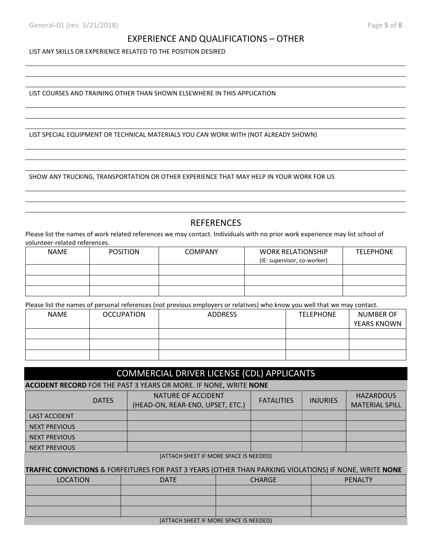#### EXPERIENCE AND QUALIFICATIONS – OTHER

LIST ANY SKILLS OR EXPERIENCE RELATED TO THE POSITION DESIRED

LIST COURSES AND TRAINING OTHER THAN SHOWN ELSEWHERE IN THIS APPLICATION

LIST SPECIAL EQUIPMENT OR TECHNICAL MATERIALS YOU CAN WORK WITH (NOT ALREADY SHOWN)

SHOW ANY TRUCKING, TRANSPORTATION OR OTHER EXPERIENCE THAT MAY HELP IN YOUR WORK FOR US

### **REFERENCES**

Please list the names of work related references we may contact. Individuals with no prior work experience may list school of volunteer-related references.

| <b>NAME</b> | <b>POSITION</b> | <b>COMPANY</b> | <b>WORK RELATIONSHIP</b>    | <b>TELEPHONE</b> |
|-------------|-----------------|----------------|-----------------------------|------------------|
|             |                 |                | (IE: supervisor, co-worker) |                  |
|             |                 |                |                             |                  |
|             |                 |                |                             |                  |
|             |                 |                |                             |                  |

Please list the names of personal references (not previous employers or relatives) who know you well that we may contact.

| <b>NAME</b> | <b>OCCUPATION</b> | <b>ADDRESS</b> | <b>TELEPHONE</b> | NUMBER OF          |
|-------------|-------------------|----------------|------------------|--------------------|
|             |                   |                |                  | <b>YEARS KNOWN</b> |
|             |                   |                |                  |                    |
|             |                   |                |                  |                    |
|             |                   |                |                  |                    |

### COMMERCIAL DRIVER LICENSE (CDL) APPLICANTS

**ACCIDENT RECORD** FOR THE PAST 3 YEARS OR MORE. IF NONE, WRITE **NONE**

|                      | <b>DATES</b> | NATURE OF ACCIDENT<br>(HEAD-ON, REAR-END, UPSET, ETC.) | <b>FATALITIES</b> | <b>INJURIES</b> | <b>HAZARDOUS</b><br><b>MATERIAL SPILL</b> |
|----------------------|--------------|--------------------------------------------------------|-------------------|-----------------|-------------------------------------------|
| <b>LAST ACCIDENT</b> |              |                                                        |                   |                 |                                           |
| <b>NEXT PREVIOUS</b> |              |                                                        |                   |                 |                                           |
| <b>NEXT PREVIOUS</b> |              |                                                        |                   |                 |                                           |
| <b>NEXT PREVIOUS</b> |              |                                                        |                   |                 |                                           |

(ATTACH SHEET IF MORE SPACE IS NEEDED)

**TRAFFIC CONVICTIONS** & FORFEITURES FOR PAST 3 YEARS (OTHER THAN PARKING VIOLATIONS) IF NONE, WRITE **NONE**

| <b>LOCATION</b> | <b>DATE</b> | <b>CHARGE</b>                               | PENALTY |
|-----------------|-------------|---------------------------------------------|---------|
|                 |             |                                             |         |
|                 |             |                                             |         |
|                 |             |                                             |         |
|                 |             | $(ATTACH$ CH CHEET IE MODE CDACE IC NEEDED) |         |

(ATTACH SHEET IF MORE SPACE IS NEEDED)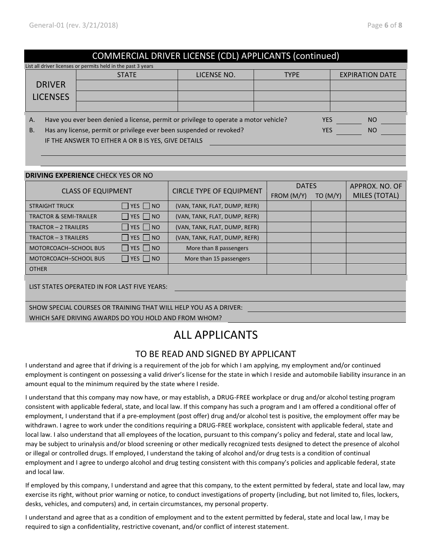## COMMERCIAL DRIVER LICENSE (CDL) APPLICANTS (continued)

|           | List all driver licenses or permits held in the past 3 years                                        |                                                                                      |             |             |                        |  |  |  |  |  |
|-----------|-----------------------------------------------------------------------------------------------------|--------------------------------------------------------------------------------------|-------------|-------------|------------------------|--|--|--|--|--|
|           |                                                                                                     | <b>STATE</b>                                                                         | LICENSE NO. | <b>TYPE</b> | <b>EXPIRATION DATE</b> |  |  |  |  |  |
|           | <b>DRIVER</b>                                                                                       |                                                                                      |             |             |                        |  |  |  |  |  |
|           | <b>LICENSES</b>                                                                                     |                                                                                      |             |             |                        |  |  |  |  |  |
|           |                                                                                                     |                                                                                      |             |             |                        |  |  |  |  |  |
| А.        |                                                                                                     | Have you ever been denied a license, permit or privilege to operate a motor vehicle? |             | <b>YES</b>  | <sub>NO</sub>          |  |  |  |  |  |
| <b>B.</b> | Has any license, permit or privilege ever been suspended or revoked?<br><b>YES</b><br><sub>NO</sub> |                                                                                      |             |             |                        |  |  |  |  |  |
|           | IF THE ANSWER TO EITHER A OR B IS YES, GIVE DETAILS                                                 |                                                                                      |             |             |                        |  |  |  |  |  |
|           |                                                                                                     |                                                                                      |             |             |                        |  |  |  |  |  |

#### **DRIVING EXPERIENCE** CHECK YES OR NO

| <b>CLASS OF EQUIPMENT</b>                                        |                      |                                 | <b>DATES</b> |         | APPROX. NO. OF |  |
|------------------------------------------------------------------|----------------------|---------------------------------|--------------|---------|----------------|--|
|                                                                  |                      | <b>CIRCLE TYPE OF EQUIPMENT</b> | FROM (M/Y)   | TO(M/Y) | MILES (TOTAL)  |  |
| <b>STRAIGHT TRUCK</b>                                            | $\Box$ YES $\Box$ NO | (VAN, TANK, FLAT, DUMP, REFR)   |              |         |                |  |
| <b>TRACTOR &amp; SEMI-TRAILER</b>                                | $\Box$ YES $\Box$ NO | (VAN, TANK, FLAT, DUMP, REFR)   |              |         |                |  |
| <b>TRACTOR - 2 TRAILERS</b>                                      | $\Box$ YES $\Box$ NO | (VAN, TANK, FLAT, DUMP, REFR)   |              |         |                |  |
| TRACTOR - 3 TRAILERS                                             | $\Box$ YES $\Box$ NO | (VAN, TANK, FLAT, DUMP, REFR)   |              |         |                |  |
| MOTORCOACH-SCHOOL BUS                                            | $\Box$ YES $\Box$ NO | More than 8 passengers          |              |         |                |  |
| <b>MOTORCOACH-SCHOOL BUS</b>                                     | $\Box$ YES $\Box$ NO | More than 15 passengers         |              |         |                |  |
| <b>OTHER</b>                                                     |                      |                                 |              |         |                |  |
| LIST STATES OPERATED IN FOR LAST FIVE YEARS:                     |                      |                                 |              |         |                |  |
|                                                                  |                      |                                 |              |         |                |  |
| SHOW SPECIAL COURSES OR TRAINING THAT WILL HELP YOU AS A DRIVER: |                      |                                 |              |         |                |  |
| WHICH SAFE DRIVING AWARDS DO YOU HOLD AND FROM WHOM?             |                      |                                 |              |         |                |  |

# ALL APPLICANTS

## TO BE READ AND SIGNED BY APPLICANT

I understand and agree that if driving is a requirement of the job for which I am applying, my employment and/or continued employment is contingent on possessing a valid driver's license for the state in which I reside and automobile liability insurance in an amount equal to the minimum required by the state where I reside.

I understand that this company may now have, or may establish, a DRUG-FREE workplace or drug and/or alcohol testing program consistent with applicable federal, state, and local law. If this company has such a program and I am offered a conditional offer of employment, I understand that if a pre-employment (post offer) drug and/or alcohol test is positive, the employment offer may be withdrawn. I agree to work under the conditions requiring a DRUG-FREE workplace, consistent with applicable federal, state and local law. I also understand that all employees of the location, pursuant to this company's policy and federal, state and local law, may be subject to urinalysis and/or blood screening or other medically recognized tests designed to detect the presence of alcohol or illegal or controlled drugs. If employed, I understand the taking of alcohol and/or drug tests is a condition of continual employment and I agree to undergo alcohol and drug testing consistent with this company's policies and applicable federal, state and local law.

If employed by this company, I understand and agree that this company, to the extent permitted by federal, state and local law, may exercise its right, without prior warning or notice, to conduct investigations of property (including, but not limited to, files, lockers, desks, vehicles, and computers) and, in certain circumstances, my personal property.

I understand and agree that as a condition of employment and to the extent permitted by federal, state and local law, I may be required to sign a confidentiality, restrictive covenant, and/or conflict of interest statement.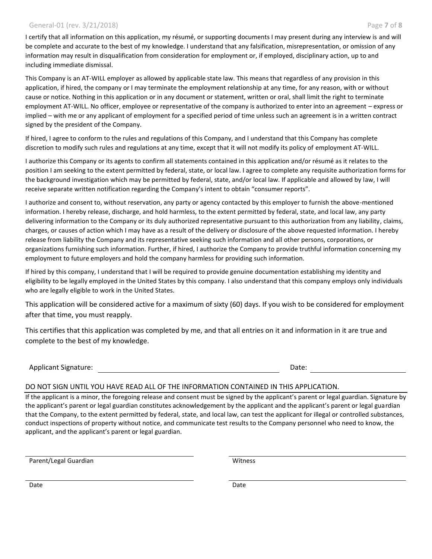#### General-01 (rev. 3/21/2018) Page **7** of **8**

I certify that all information on this application, my résumé, or supporting documents I may present during any interview is and will be complete and accurate to the best of my knowledge. I understand that any falsification, misrepresentation, or omission of any information may result in disqualification from consideration for employment or, if employed, disciplinary action, up to and including immediate dismissal.

This Company is an AT-WILL employer as allowed by applicable state law. This means that regardless of any provision in this application, if hired, the company or I may terminate the employment relationship at any time, for any reason, with or without cause or notice. Nothing in this application or in any document or statement, written or oral, shall limit the right to terminate employment AT-WILL. No officer, employee or representative of the company is authorized to enter into an agreement – express or implied – with me or any applicant of employment for a specified period of time unless such an agreement is in a written contract signed by the president of the Company.

If hired, I agree to conform to the rules and regulations of this Company, and I understand that this Company has complete discretion to modify such rules and regulations at any time, except that it will not modify its policy of employment AT-WILL.

I authorize this Company or its agents to confirm all statements contained in this application and/or résumé as it relates to the position I am seeking to the extent permitted by federal, state, or local law. I agree to complete any requisite authorization forms for the background investigation which may be permitted by federal, state, and/or local law. If applicable and allowed by law, I will receive separate written notification regarding the Company's intent to obtain "consumer reports".

I authorize and consent to, without reservation, any party or agency contacted by this employer to furnish the above-mentioned information. I hereby release, discharge, and hold harmless, to the extent permitted by federal, state, and local law, any party delivering information to the Company or its duly authorized representative pursuant to this authorization from any liability, claims, charges, or causes of action which I may have as a result of the delivery or disclosure of the above requested information. I hereby release from liability the Company and its representative seeking such information and all other persons, corporations, or organizations furnishing such information. Further, if hired, I authorize the Company to provide truthful information concerning my employment to future employers and hold the company harmless for providing such information.

If hired by this company, I understand that I will be required to provide genuine documentation establishing my identity and eligibility to be legally employed in the United States by this company. I also understand that this company employs only individuals who are legally eligible to work in the United States.

This application will be considered active for a maximum of sixty (60) days. If you wish to be considered for employment after that time, you must reapply.

This certifies that this application was completed by me, and that all entries on it and information in it are true and complete to the best of my knowledge.

Applicant Signature: The Contract of the Contract of the Contract of the Contract of the Contract of the Contract of the Contract of the Contract of the Contract of the Contract of the Contract of the Contract of the Contr

#### DO NOT SIGN UNTIL YOU HAVE READ ALL OF THE INFORMATION CONTAINED IN THIS APPLICATION.

If the applicant is a minor, the foregoing release and consent must be signed by the applicant's parent or legal guardian. Signature by the applicant's parent or legal guardian constitutes acknowledgement by the applicant and the applicant's parent or legal guardian that the Company, to the extent permitted by federal, state, and local law, can test the applicant for illegal or controlled substances, conduct inspections of property without notice, and communicate test results to the Company personnel who need to know, the applicant, and the applicant's parent or legal guardian.

Parent/Legal Guardian Witness

Date **Date Date Date Date Date Date Date Date Date Date**